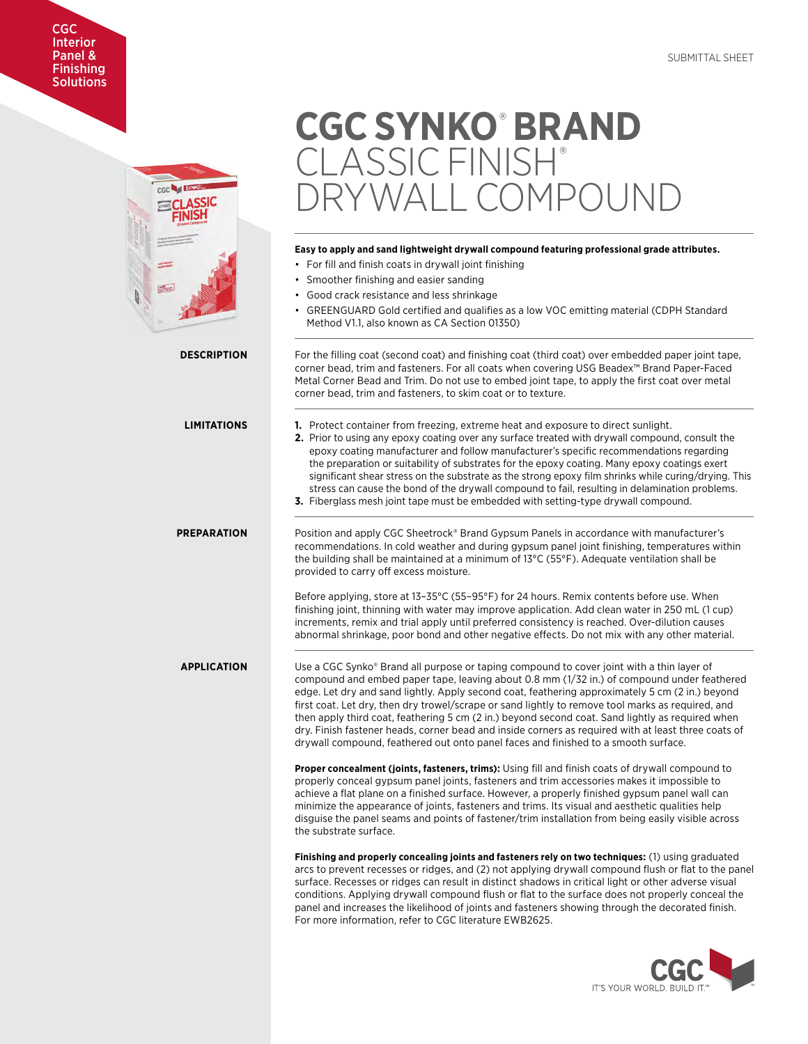## CGC Interior Panel & **Finishing Solutions**



# **CGC SYNKO**®  **BRAND**  CLASSIC FINISH® RYWALL COMPOUND

## **Easy to apply and sand lightweight drywall compound featuring professional grade attributes.**

- For fill and finish coats in drywall joint finishing
- Smoother finishing and easier sanding
- Good crack resistance and less shrinkage
- GREENGUARD Gold certified and qualifies as a low VOC emitting material (CDPH Standard Method V1.1, also known as CA Section 01350)

**DESCRIPTION** For the filling coat (second coat) and finishing coat (third coat) over embedded paper joint tape, corner bead, trim and fasteners. For all coats when covering USG Beadex™ Brand Paper-Faced Metal Corner Bead and Trim. Do not use to embed joint tape, to apply the first coat over metal corner bead, trim and fasteners, to skim coat or to texture. **LIMITATIONS 1.** Protect container from freezing, extreme heat and exposure to direct sunlight.

- **2.** Prior to using any epoxy coating over any surface treated with drywall compound, consult the epoxy coating manufacturer and follow manufacturer's specific recommendations regarding the preparation or suitability of substrates for the epoxy coating. Many epoxy coatings exert significant shear stress on the substrate as the strong epoxy film shrinks while curing/drying. This stress can cause the bond of the drywall compound to fail, resulting in delamination problems.
- **3.** Fiberglass mesh joint tape must be embedded with setting-type drywall compound.

**PREPARATION** Position and apply CGC Sheetrock® Brand Gypsum Panels in accordance with manufacturer's recommendations. In cold weather and during gypsum panel joint finishing, temperatures within the building shall be maintained at a minimum of 13°C (55°F). Adequate ventilation shall be provided to carry off excess moisture.

> Before applying, store at 13–35°C (55–95°F) for 24 hours. Remix contents before use. When finishing joint, thinning with water may improve application. Add clean water in 250 mL (1 cup) increments, remix and trial apply until preferred consistency is reached. Over-dilution causes abnormal shrinkage, poor bond and other negative effects. Do not mix with any other material.

**APPLICATION** Use a CGC Synko® Brand all purpose or taping compound to cover joint with a thin layer of compound and embed paper tape, leaving about 0.8 mm (1/32 in.) of compound under feathered edge. Let dry and sand lightly. Apply second coat, feathering approximately 5 cm (2 in.) beyond first coat. Let dry, then dry trowel/scrape or sand lightly to remove tool marks as required, and then apply third coat, feathering 5 cm (2 in.) beyond second coat. Sand lightly as required when dry. Finish fastener heads, corner bead and inside corners as required with at least three coats of drywall compound, feathered out onto panel faces and finished to a smooth surface.

> **Proper concealment (joints, fasteners, trims):** Using fill and finish coats of drywall compound to properly conceal gypsum panel joints, fasteners and trim accessories makes it impossible to achieve a flat plane on a finished surface. However, a properly finished gypsum panel wall can minimize the appearance of joints, fasteners and trims. Its visual and aesthetic qualities help disguise the panel seams and points of fastener/trim installation from being easily visible across the substrate surface.

**Finishing and properly concealing joints and fasteners rely on two techniques:** (1) using graduated arcs to prevent recesses or ridges, and (2) not applying drywall compound flush or flat to the panel surface. Recesses or ridges can result in distinct shadows in critical light or other adverse visual conditions. Applying drywall compound flush or flat to the surface does not properly conceal the panel and increases the likelihood of joints and fasteners showing through the decorated finish. For more information, refer to CGC literature EWB2625.